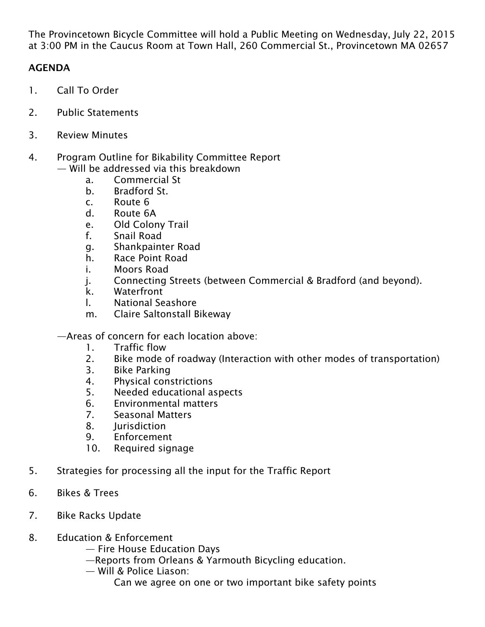The Provincetown Bicycle Committee will hold a Public Meeting on Wednesday, July 22, 2015 at 3:00 PM in the Caucus Room at Town Hall, 260 Commercial St., Provincetown MA 02657

## AGENDA

- 1. Call To Order
- 2. Public Statements
- 3. Review Minutes
- 4. Program Outline for Bikability Committee Report
	- Will be addressed via this breakdown
		- a. Commercial St
		- b. Bradford St.
		- c. Route 6
		- d. Route 6A
		- e. Old Colony Trail
		- f. Snail Road
		- g. Shankpainter Road
		- h. Race Point Road
		- i. Moors Road
		- j. Connecting Streets (between Commercial & Bradford (and beyond).
		- k. Waterfront
		- l. National Seashore
		- m. Claire Saltonstall Bikeway
	- —Areas of concern for each location above:
		- 1. Traffic flow
		- 2. Bike mode of roadway (Interaction with other modes of transportation)
		- 3. Bike Parking
		- 4. Physical constrictions
		- 5. Needed educational aspects
		- 6. Environmental matters
		- 7. Seasonal Matters
		- 8. Jurisdiction
		- 9. Enforcement
		- 10. Required signage
- 5. Strategies for processing all the input for the Traffic Report
- 6. Bikes & Trees
- 7. Bike Racks Update
- 8. Education & Enforcement
	- Fire House Education Days
	- —Reports from Orleans & Yarmouth Bicycling education.
	- Will & Police Liason:
		- Can we agree on one or two important bike safety points